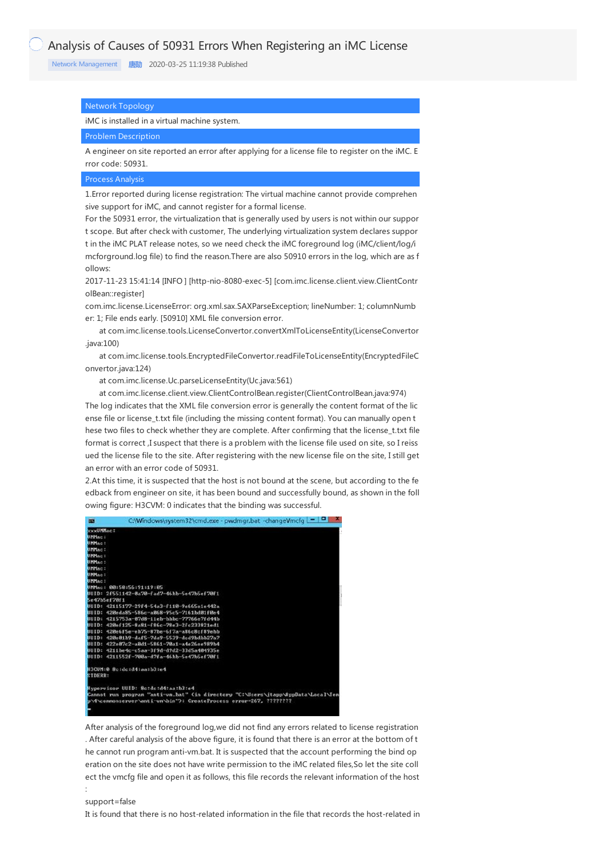Network [Management](https://knowledge.h3c.com/questions/catesDis/1535) **[唐勋](https://knowledge.h3c.com/user/other/5)** 2020-03-25 11:19:38 Published

## Network Topology

# iMC is installed in a virtual machine system.

# Problem Description

A engineer on site reported an error after applying for a license file to register on the iMC. E rror code: 50931.

#### Process Analysis

1.Error reported during license registration: The virtual machine cannot provide comprehen sive support for iMC, and cannot register for a formal license.

For the 50931 error, the virtualization that is generally used by users is not within our suppor t scope. But after check with customer, The underlying virtualization system declares suppor t in the iMC PLAT release notes, so we need check the iMC foreground log (iMC/client/log/i mcforground.log file) to find the reason.There are also 50910 errors in the log, which are as f ollows:

2017-11-23 15:41:14 [INFO ] [http-nio-8080-exec-5] [com.imc.license.client.view.ClientContr olBean::register]

com.imc.license.LicenseError: org.xml.sax.SAXParseException; lineNumber: 1; columnNumb er: 1; File ends early. [50910] XML file conversion error.

at com.imc.license.tools.LicenseConvertor.convertXmlToLicenseEntity(LicenseConvertor .java:100)

at com.imc.license.tools.EncryptedFileConvertor.readFileToLicenseEntity(EncryptedFileC onvertor.java:124)

at com.imc.license.Uc.parseLicenseEntity(Uc.java:561)

at com.imc.license.client.view.ClientControlBean.register(ClientControlBean.java:974)

The log indicates that the XML file conversion error is generally the content format of the lic ense file or license\_t.txt file (including the missing content format). You can manually open t hese two files to check whether they are complete. After confirming that the license\_t.txt file format is correct ,I suspect that there is a problem with the license file used on site, so I reiss ued the license file to the site. After registering with the new license file on the site, I still get an error with an error code of 50931.

2.At this time, it is suspected that the host is not bound at the scene, but according to the fe edback from engineer on site, it has been bound and successfully bound, as shown in the foll owing figure: H3CVM: 0 indicates that the binding was successful.

| <b>SER</b>     | C:\Windows\system32\cmd.exe - pwdmgr.bat -changeVmcfq   -   -                    |
|----------------|----------------------------------------------------------------------------------|
| xxxUMMac:      |                                                                                  |
| UMMac:         |                                                                                  |
| UMMac:         |                                                                                  |
| UMMAC:         |                                                                                  |
| UMMAC:         |                                                                                  |
| UMMac:         |                                                                                  |
| UMMac:         |                                                                                  |
| UMMac:         |                                                                                  |
| <b>UMMAC:</b>  |                                                                                  |
|                | UMMac: 00:50:56:91:19:05                                                         |
|                | UUID: 2f551142-0a70-fad7-46bb-5e42b5ef70f1                                       |
|                | 5e47b5ef78f1                                                                     |
|                | UUID: 42115177-29f4-54a3-f110-9e665e1e442a                                       |
|                | UUID: 420eda85-586c-a068-95c5-7161bd01f0e4                                       |
|                | UUID: 4215753a-07d8-11eh-hbbc-77766e7fd44b                                       |
|                | UUID: 420ef125-8a81-f86c-78e3-2fc233821ed1                                       |
|                | UUID: 420e6f5e-eb75-87be-6f7a-a86c8cf89ebb                                       |
|                | UUID: 420e81b9-daf5-7da9-5539-dcd9bdbb27a7                                       |
|                | UUID: 422e87c2-a8d1-5861-70a1-a4e26ee989b4                                       |
|                | UUID: 4211be4c-c5aa-3f9d-d9d2-33d5a404935e                                       |
|                | UUID: 4211552f-700a-d7fa-46bb-5e47b5ef70f1                                       |
|                | H3CUM:0 8c:dc:d4:aa:h3:e4                                                        |
| <b>STDERR:</b> |                                                                                  |
|                | Hypervisor UUID: 8c:dc:d4:aa:b3:e4                                               |
|                | Cannot run program "anti-un,bat" (in directory "C:\Users\itapp\AppData\Local\Ten |
|                | p\4\commonserver\anti-vm\bin">: CreateProcess error=267, ????????                |
|                |                                                                                  |

After analysis of the foreground log,we did not find any errors related to license registration . After careful analysis of the above figure, it is found that there is an error at the bottom of t he cannot run program anti-vm.bat. It is suspected that the account performing the bind op eration on the site does not have write permission to the iMC related files, So let the site coll ect the vmcfg file and open it as follows, this file records the relevant information of the host

#### support=false

:

It is found that there is no host-related information in the file that records the host-related in